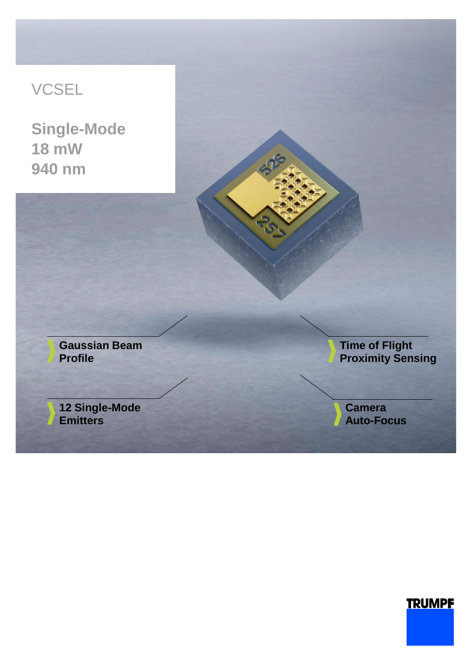## VCSEL

**Single-Mode 18 mW 940 nm**



## **TRUMPF**